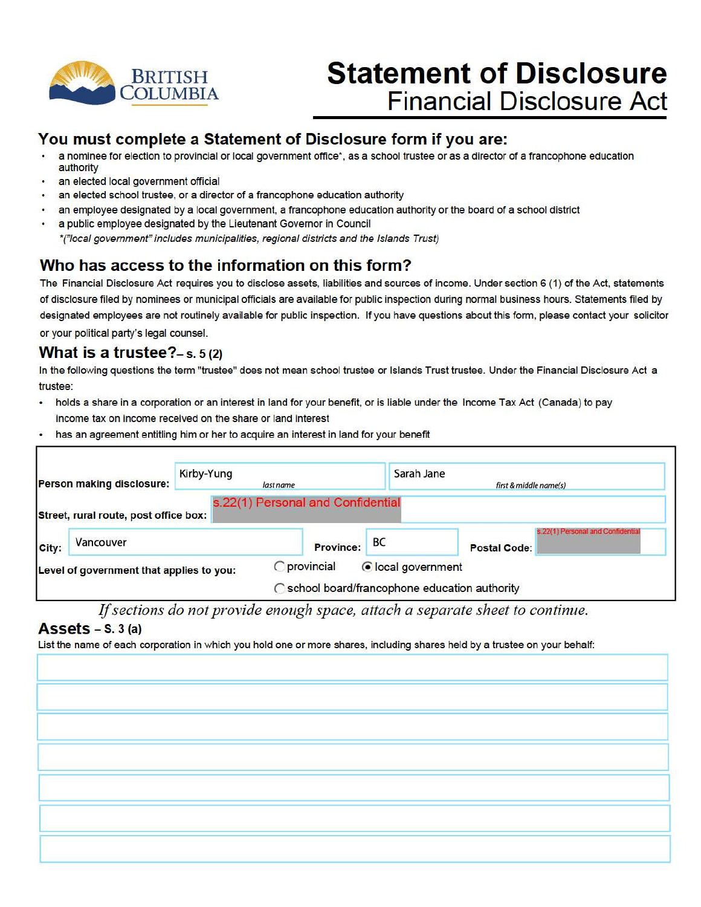

# **Statement of Disclosure Financial Disclosure Act**

#### **You must complete a Statement of Disclosure form if you are:**

- a nominee for election to provincial or local government office\*, as a school trustee or as a director of a francophone education authority
- an elected local government official
- an elected school trustee, or a director of a francophone education authority
- an employee designated by a local government, a francophone education authority or the board of a school district
- a public employee designated by the Lieutenant Governor in Council
	- •("local government" includes municipalities, regional districts and the Islands Trust)

### **Who has access to the information on this form?**

The Financial Disclosure Act requires you to disclose assets, liabilities and sources of income. Under section 6 (1) of the Act, statements of disclosure filed by nominees or municipal officials are available for public inspection during normal business hours. Statements filed by designated employees are not routinely available for public inspection. If you have questions about this form, please contact your solicitor or your political party's legal counsel.

#### **What is a trustee?-s.** s (2)

In the following questions the term "trustee" does not mean school trustee or Islands Trust trustee. Under the Financial Disclosure Act a trustee:

- holds a share in a corporation or an interest in land for your benefit, or is liable under the Income Tax Act (Canada) to pay income tax on income received on the share or land interest
- has an agreement entitling him or her to acquire an interest in land for your benefit

| Person making disclosure:                | Kirby-Yung<br>last name           | Sarah Jane                                                           | first & middle name(s) |                                   |  |
|------------------------------------------|-----------------------------------|----------------------------------------------------------------------|------------------------|-----------------------------------|--|
| Street, rural route, post office box:    | s.22(1) Personal and Confidential |                                                                      |                        |                                   |  |
| Vancouver<br>City:                       |                                   | BC<br><b>Province:</b>                                               | <b>Postal Code:</b>    | s.22(1) Personal and Confidential |  |
| Level of government that applies to you: | <b>Oprovincial</b>                | ● local government<br>◯ school board/francophone education authority |                        |                                   |  |

If sections do not provide enough space, attach a separate sheet to continue.

#### **Assets** - s. 3 (a)

List the name of each corporation in which you hold one or more shares, including shares held by a trustee on your behalf: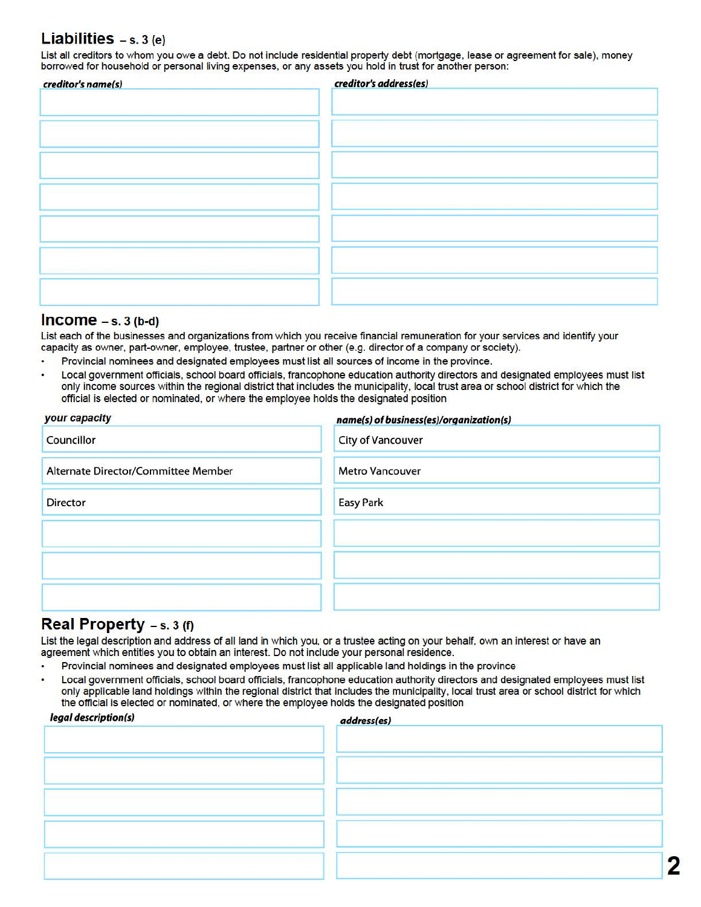#### **Liabilities** - s. 3 (e)

List all creditors to whom you owe a debt. Do not include residential property debt (mortgage, lease or agreement for sale), money borrowed for household or personal living expenses, or any assets you hold in trust for another person:

| creditor's name(s) | creditor's address(es) |  |
|--------------------|------------------------|--|
|                    |                        |  |
|                    |                        |  |
|                    |                        |  |
|                    |                        |  |
|                    |                        |  |
|                    |                        |  |
|                    |                        |  |
|                    |                        |  |
|                    |                        |  |
|                    |                        |  |
|                    |                        |  |
|                    |                        |  |
|                    |                        |  |
|                    |                        |  |
|                    |                        |  |
|                    |                        |  |
|                    |                        |  |
|                    |                        |  |
|                    |                        |  |

#### **Income** - s. 3 (b-d)

List each of the businesses and organizations from which you receive financial remuneration for your services and identify your capacity as owner, part-owner, employee, trustee, partner or other (e.g. director of a company or society).

- Provincial nominees and designated employees must list all sources of income in the province.
- Local government officials, school board officials, francophone education authority directors and designated employees must list only income sources within the regional district that includes the municipality, local trust area or school district for which the official is elected or nominated, or where the employee holds the designated position

| your capacity                       | name(s) of business(es)/organization(s) |
|-------------------------------------|-----------------------------------------|
| Councillor                          | City of Vancouver                       |
| Alternate Director/Committee Member | <b>Metro Vancouver</b>                  |
| Director                            | <b>Easy Park</b>                        |
|                                     |                                         |
|                                     |                                         |
|                                     |                                         |

#### **Real Property** - s. 3 (f)

List the legal description and address of all land in which you, or a trustee acting on your behalf, own an interest or have an agreement which entitles you to obtain an interest. Do not include your personal residence.

- Provincial nominees and designated employees must list all applicable land holdings in the province
- Local government officials, school board officials, francophone education authority directors and designated employees must list only applicable land holdings within the regional district that includes the municipality, local trust area or school district for which

| legal description(s) | address(es) |  |
|----------------------|-------------|--|
|                      |             |  |
|                      |             |  |
|                      |             |  |
|                      |             |  |